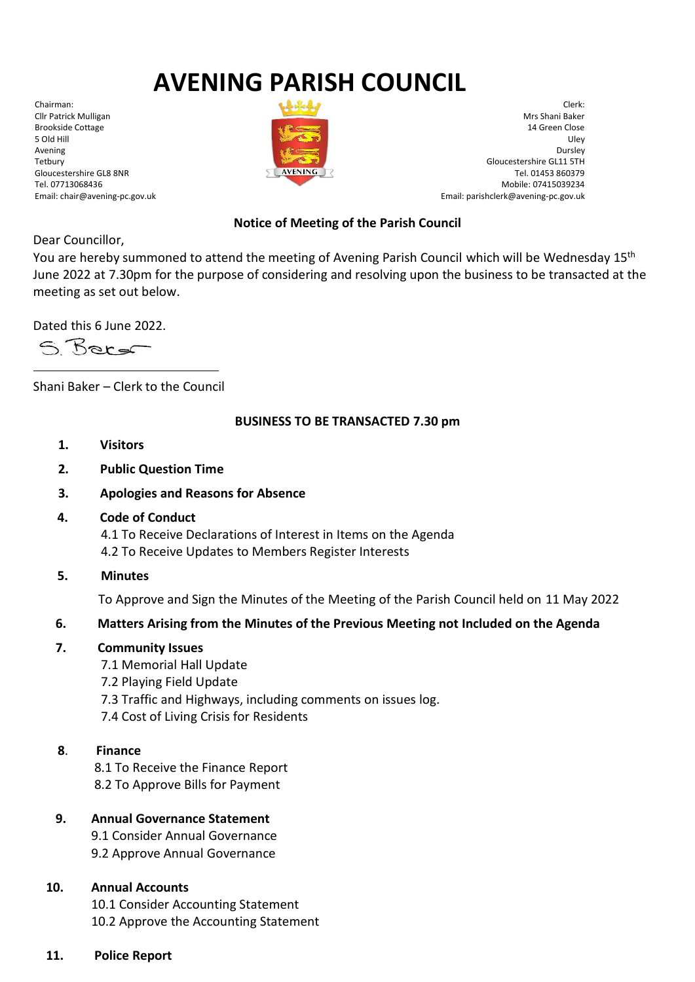# **AVENING PARISH COUNCIL**

Chairman: Cllr Patrick Mulligan Brookside Cottage 5 Old Hill Avening Tetbury Gloucestershire GL8 8NR Tel. 07713068436 Email: chair@avening-pc.gov.uk



Clerk: Mrs Shani Baker 14 Green Close Uley Dursley Gloucestershire GL11 5TH Tel. 01453 860379 Mobile: 07415039234 Email: parishclerk@avening-pc.gov.uk

## **Notice of Meeting of the Parish Council**

Dear Councillor,

You are hereby summoned to attend the meeting of Avening Parish Council which will be Wednesday 15<sup>th</sup> June 2022 at 7.30pm for the purpose of considering and resolving upon the business to be transacted at the meeting as set out below.

Dated this 6 June 2022.

S Berg

Shani Baker – Clerk to the Council

#### **BUSINESS TO BE TRANSACTED 7.30 pm**

- **1. Visitors**
- **2. Public Question Time**
- **3. Apologies and Reasons for Absence**
- **4. Code of Conduct**

 4.1 To Receive Declarations of Interest in Items on the Agenda 4.2 To Receive Updates to Members Register Interests

**5. Minutes**

To Approve and Sign the Minutes of the Meeting of the Parish Council held on 11 May 2022

## **6. Matters Arising from the Minutes of the Previous Meeting not Included on the Agenda**

- **7. Community Issues**
	- 7.1 Memorial Hall Update
	- 7.2 Playing Field Update
	- 7.3 Traffic and Highways, including comments on issues log.
	- 7.4 Cost of Living Crisis for Residents
- **8**. **Finance**

 8.1 To Receive the Finance Report 8.2 To Approve Bills for Payment

## **9. Annual Governance Statement**

 9.1 Consider Annual Governance 9.2 Approve Annual Governance

## **10. Annual Accounts**

 10.1 Consider Accounting Statement 10.2 Approve the Accounting Statement

## **11. Police Report**